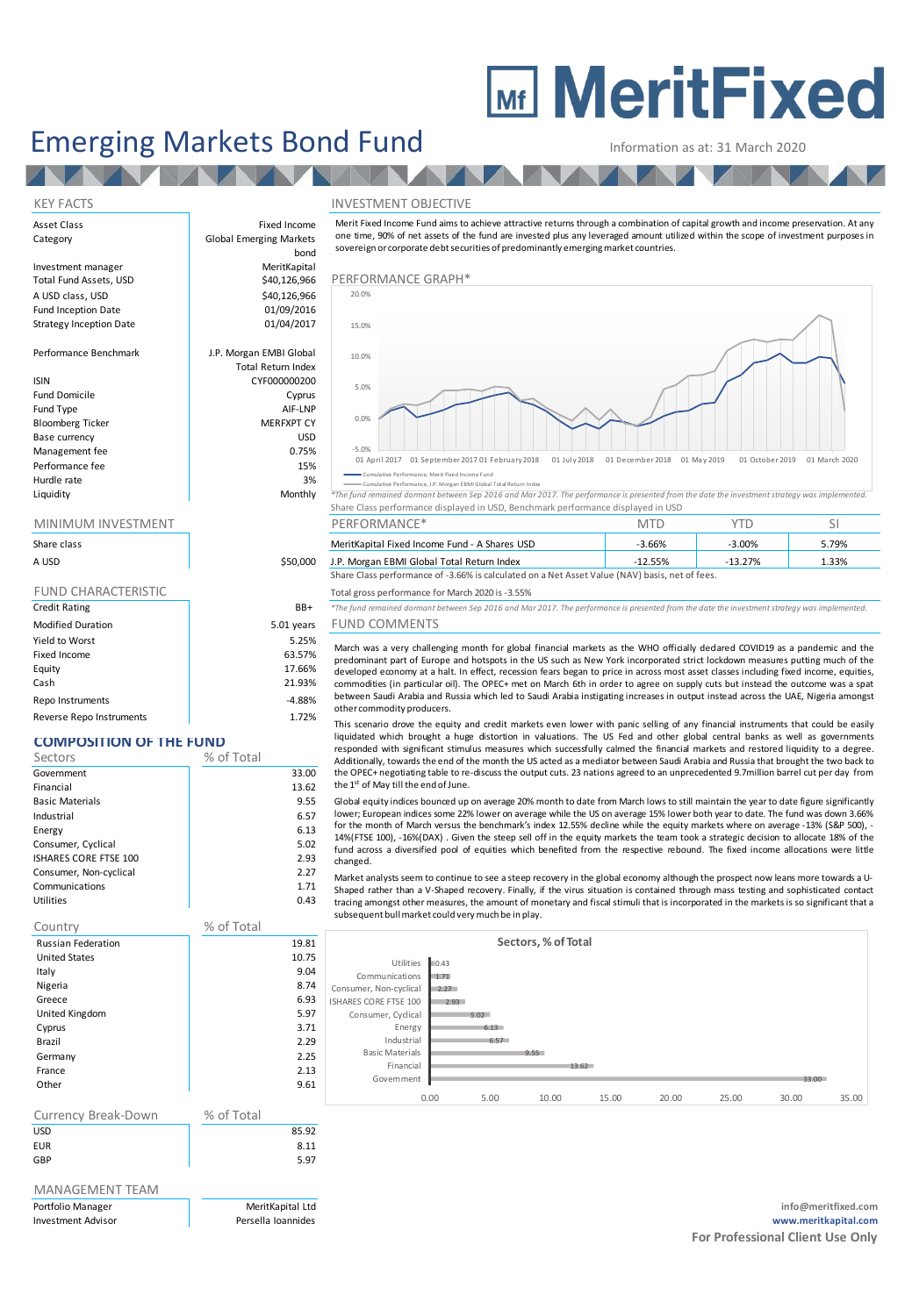# **MEDITE MeritFixed**

## Emerging Markets Bond Fund Information as at: 31 March 2020

bond

AV 1

Total Return Index

#### KEY FACTS INVESTMENT OBJECTIVE

Asset Class **Fixed Income** Category **Global Emerging Markets** 

Investment manager MeritKapital<br>
Total Fund Assets, USD MeritKapital<br>
\$40,126,966 A USD class, USD **A USD CONSERVERS 640,126,966** Fund Inception Date 01/09/2016<br>Strategy Inception Date 01/04/2017 Strategy Inception Date

**TALA** 

Performance Benchmark J.P. Morgan EMBI Global

## ISIN CYF000000200

Fund Domicile **Cyprus** Cyprus Cyprus Cyprus Cyprus Cyprus Cyprus Cyprus Cyprus Cyprus Cyprus Cyprus Cyprus Cyprus<br>
Cyprus Cyprus Cyprus Cyprus Cyprus Cyprus Cyprus Cyprus Cyprus Cyprus Cyprus Cyprus Cyprus Cyprus Cyprus Cy Fund Type and Type AIF-LNP<br>Bloomberg Ticker and The MEREXPT CY Bloomberg Ticker Base currency USD Management fee and the contract of the desired of the desired of the desired of the desired of the desired of the desired of the desired of the desired of the desired of the desired of the desired of the desired of the des Performance fee 15% Hurdle rate and the state of the state of the state  $\sim$  3%

| Share class                |  |  |
|----------------------------|--|--|
| A USD                      |  |  |
|                            |  |  |
| <b>FUND CHARACTERISTIC</b> |  |  |

| <b>Credit Rating</b>     | BB+        |
|--------------------------|------------|
| <b>Modified Duration</b> | 5.01 years |
| Yield to Worst           | 5.25%      |
| Fixed Income             | 63.57%     |
| Equity                   | 17.66%     |
| Cash                     | 21.93%     |
| Repo Instruments         | $-4.88%$   |
| Reverse Repo Instruments | 1.72%      |

### **COMPOSITION OF THE FUND**

| Sectors                      | % of Total |       |
|------------------------------|------------|-------|
| Government                   |            | 33.00 |
| Financial                    |            | 13.62 |
| <b>Basic Materials</b>       |            | 9.55  |
| Industrial                   |            | 6.57  |
| Energy                       |            | 6.13  |
| Consumer, Cyclical           |            | 5.02  |
| <b>ISHARES CORE FTSE 100</b> |            | 2.93  |
| Consumer, Non-cyclical       |            | 2.27  |
| Communications               |            | 1.71  |
| Utilities                    |            | 0.43  |

#### Country % of Total

| <b>Russian Federation</b> | 19.81 |
|---------------------------|-------|
| <b>United States</b>      | 10.75 |
| Italy                     | 9.04  |
| Nigeria                   | 8.74  |
| Greece                    | 6.93  |
| United Kingdom            | 5.97  |
| Cyprus                    | 3.71  |
| Brazil                    | 2.29  |
| Germany                   | 2.25  |
| France                    | 2.13  |
| Other                     | 9.61  |

#### Currency Break-Down % of Total USD 85.92

EUR 8.11 GBP 5.97

### MANAGEMENT TEAM

Information as at: 31 March 2020<br>
NVESTMENT OBJECTIVE<br>
Merit Fixed Income Fund aims to achieve attractive returns through a combination of capital growth and income preservation. At any<br>
one time, 90% of net assets of the sovereign or corporate debt securities of predominantly emerging market countries.



Cumulative Performance, J.P. Morgan EBMI

Liquidity Monthly *\*The fund remained dormant between Sep 2016 and Mar 2017. The performance is presented from the date the investment strategy was implemented.* Share Class performance displayed in USD, Benchmark performance displayed in USD

| <b>MINIMUM INVESTMENT</b> |          | PERFORMANCE*                                                                                   | mte       |           |       |  |
|---------------------------|----------|------------------------------------------------------------------------------------------------|-----------|-----------|-------|--|
| Share class               |          | MeritKapital Fixed Income Fund - A Shares USD                                                  | -3.66%    | $-3.00\%$ | 5.79% |  |
| A USD                     | \$50,000 | J.P. Morgan EBMI Global Total Return Index                                                     | $-12.55%$ | $-13.27%$ | 1.33% |  |
|                           |          | Share Class performance of -3.66% is calculated on a Net Asset Value (NAV) basis, net of fees. |           |           |       |  |

### Total gross performance for March 2020 is -3.55%

Credit Rating BB+ *\*The fund remained dormant between Sep 2016 and Mar 2017. The performance is presented from the date the investment strategy was implemented.* modified DUND COMMENTS

March was a very challenging month for global financial markets as the WHO officially declared COVID19 as a pandemic and the This scenario drong the Class performance of -3.66% is calculated on a Net Asset Value (NAV) basis, net of fees.<br>
The fund remained domant between Sep 2016 and Mar 2017. The performance is presented from the date the inves other commodity producers.

This scenario drove the equity and credit markets even lower with panic selling of any financial instruments that could be easily liquidated which brought a huge distortion in valuations. The US Fed and other global central banks as well as governments responded with significant stimulus measures which successfully calmed the financial markets and restored liquidity to a degree. Additionally, towards the end of the month the US acted as a mediator between Saudi Arabia and Russia that brought the two back to the OPEC+ negotiating table to re-discuss the output cuts. 23 nations agreed to an unprecedented 9.7million barrel cut per day from the 1 st of May till the end of June.

Global equity indices bounced up on average 20% month to date from March lows to still maintain the year to date figure significantly lower; European indices some 22% lower on average while the US on average 15% lower both year to date. The fund was down 3.66% liquidated which brought a huge distortion in valuations. The US Fed and other global central banks as well as governments<br>responded with significant stimulus measures which successfully calmed the financial markets and re fund across a diversified pool of equities which benefited from the respective rebound. The fixed income allocations were little changed. the 1<sup>st</sup> of May till the end of June.<br>Global equity indices bounced up on average 20% month to date from March lows to still maintain the year to date figure significantly<br>Global equity indices bounced up on average while for the month of March versus the benchmark's index 12.55% decline while the equity markets where on average -13% (S&P 500), -14% (FTSE 100), -16% (DAX) . Given the steep sell off in the equity markets the team took a stra

| 9.81 | Sectors, % of Total    |       |      |       |       |       |       |       |       |
|------|------------------------|-------|------|-------|-------|-------|-------|-------|-------|
| 0.75 | <b>Utilities</b>       | 10.43 |      |       |       |       |       |       |       |
| 9.04 | Communications         | 1.71  |      |       |       |       |       |       |       |
| 8.74 | Consumer, Non-cyclical | 2.27  |      |       |       |       |       |       |       |
| 6.93 | ISHARES CORE FTSE 100  | 2.93  |      |       |       |       |       |       |       |
| 5.97 | Consumer, Cyclical     |       | 5.02 |       |       |       |       |       |       |
| 3.71 | Energy                 |       | 6.13 |       |       |       |       |       |       |
| 2.29 | Industrial             |       | 6.57 |       |       |       |       |       |       |
| 2.25 | <b>Basic Materials</b> |       |      | 9.55  |       |       |       |       |       |
| 2.13 | Financial              |       |      |       | 13.62 |       |       |       |       |
| 9.61 | Government             |       |      |       |       |       |       | 33.00 |       |
|      |                        | 0.00  | 5.00 | 10.00 | 15.00 | 20.00 | 25.00 | 30.00 | 35.00 |
|      |                        |       |      |       |       |       |       |       |       |